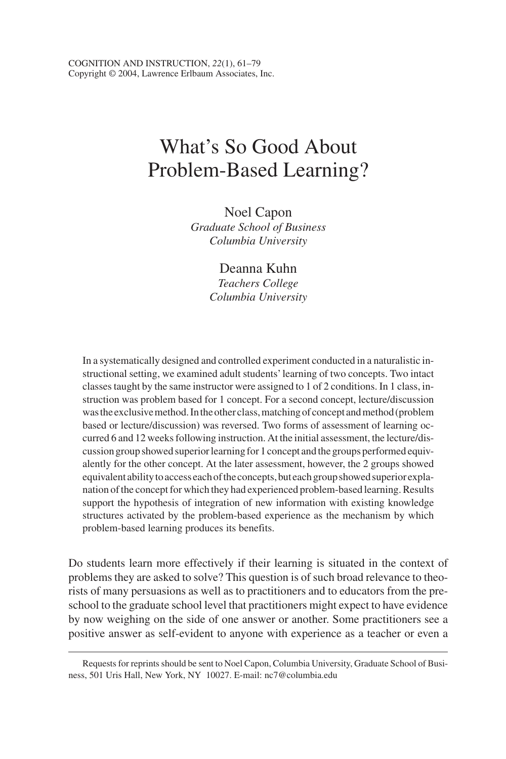# What's So Good About Problem-Based Learning?

Noel Capon *Graduate School of Business Columbia University*

> Deanna Kuhn *Teachers College Columbia University*

In a systematically designed and controlled experiment conducted in a naturalistic instructional setting, we examined adult students' learning of two concepts. Two intact classes taught by the same instructor were assigned to 1 of 2 conditions. In 1 class, instruction was problem based for 1 concept. For a second concept, lecture/discussion was the exclusive method. In the other class, matching of concept and method (problem based or lecture/discussion) was reversed. Two forms of assessment of learning occurred 6 and 12 weeks following instruction. At the initial assessment, the lecture/discussion group showed superior learning for 1 concept and the groups performed equivalently for the other concept. At the later assessment, however, the 2 groups showed equivalent ability to access each of the concepts, but each group showed superior explanation of the concept for which they had experienced problem-based learning. Results support the hypothesis of integration of new information with existing knowledge structures activated by the problem-based experience as the mechanism by which problem-based learning produces its benefits.

Do students learn more effectively if their learning is situated in the context of problems they are asked to solve? This question is of such broad relevance to theorists of many persuasions as well as to practitioners and to educators from the preschool to the graduate school level that practitioners might expect to have evidence by now weighing on the side of one answer or another. Some practitioners see a positive answer as self-evident to anyone with experience as a teacher or even a

Requests for reprints should be sent to Noel Capon, Columbia University, Graduate School of Business, 501 Uris Hall, New York, NY 10027. E-mail: nc7@columbia.edu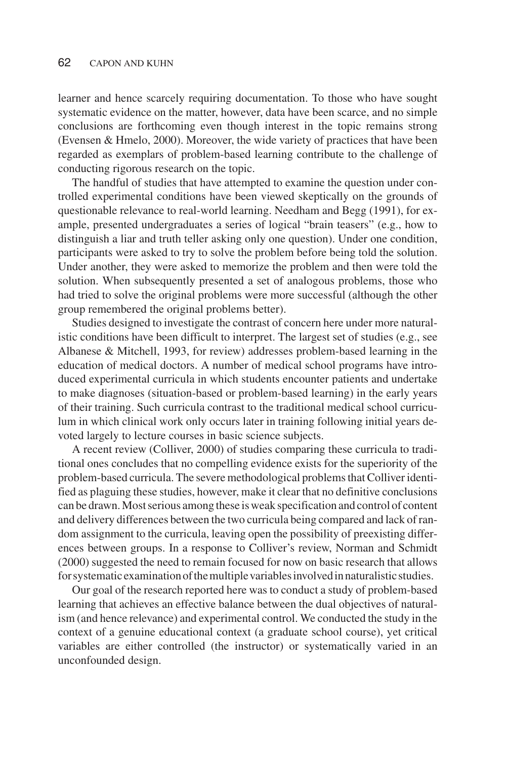learner and hence scarcely requiring documentation. To those who have sought systematic evidence on the matter, however, data have been scarce, and no simple conclusions are forthcoming even though interest in the topic remains strong (Evensen & Hmelo, 2000). Moreover, the wide variety of practices that have been regarded as exemplars of problem-based learning contribute to the challenge of conducting rigorous research on the topic.

The handful of studies that have attempted to examine the question under controlled experimental conditions have been viewed skeptically on the grounds of questionable relevance to real-world learning. Needham and Begg (1991), for example, presented undergraduates a series of logical "brain teasers" (e.g., how to distinguish a liar and truth teller asking only one question). Under one condition, participants were asked to try to solve the problem before being told the solution. Under another, they were asked to memorize the problem and then were told the solution. When subsequently presented a set of analogous problems, those who had tried to solve the original problems were more successful (although the other group remembered the original problems better).

Studies designed to investigate the contrast of concern here under more naturalistic conditions have been difficult to interpret. The largest set of studies (e.g., see Albanese & Mitchell, 1993, for review) addresses problem-based learning in the education of medical doctors. A number of medical school programs have introduced experimental curricula in which students encounter patients and undertake to make diagnoses (situation-based or problem-based learning) in the early years of their training. Such curricula contrast to the traditional medical school curriculum in which clinical work only occurs later in training following initial years devoted largely to lecture courses in basic science subjects.

A recent review (Colliver, 2000) of studies comparing these curricula to traditional ones concludes that no compelling evidence exists for the superiority of the problem-based curricula. The severe methodological problems that Colliver identified as plaguing these studies, however, make it clear that no definitive conclusions can be drawn. Most serious among these is weak specification and control of content and delivery differences between the two curricula being compared and lack of random assignment to the curricula, leaving open the possibility of preexisting differences between groups. In a response to Colliver's review, Norman and Schmidt (2000) suggested the need to remain focused for now on basic research that allows forsystematicexaminationofthemultiplevariablesinvolvedinnaturalisticstudies.

Our goal of the research reported here was to conduct a study of problem-based learning that achieves an effective balance between the dual objectives of naturalism (and hence relevance) and experimental control. We conducted the study in the context of a genuine educational context (a graduate school course), yet critical variables are either controlled (the instructor) or systematically varied in an unconfounded design.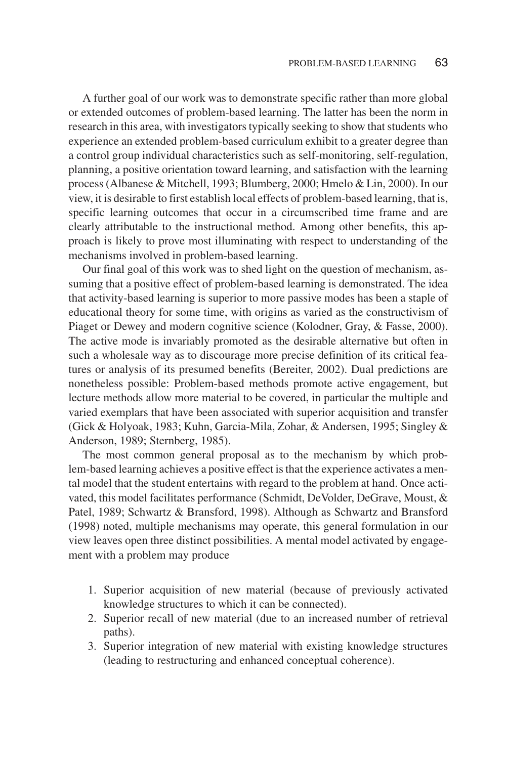A further goal of our work was to demonstrate specific rather than more global or extended outcomes of problem-based learning. The latter has been the norm in research in this area, with investigators typically seeking to show that students who experience an extended problem-based curriculum exhibit to a greater degree than a control group individual characteristics such as self-monitoring, self-regulation, planning, a positive orientation toward learning, and satisfaction with the learning process (Albanese & Mitchell, 1993; Blumberg, 2000; Hmelo & Lin, 2000). In our view, it is desirable to first establish local effects of problem-based learning, that is, specific learning outcomes that occur in a circumscribed time frame and are clearly attributable to the instructional method. Among other benefits, this approach is likely to prove most illuminating with respect to understanding of the mechanisms involved in problem-based learning.

Our final goal of this work was to shed light on the question of mechanism, assuming that a positive effect of problem-based learning is demonstrated. The idea that activity-based learning is superior to more passive modes has been a staple of educational theory for some time, with origins as varied as the constructivism of Piaget or Dewey and modern cognitive science (Kolodner, Gray, & Fasse, 2000). The active mode is invariably promoted as the desirable alternative but often in such a wholesale way as to discourage more precise definition of its critical features or analysis of its presumed benefits (Bereiter, 2002). Dual predictions are nonetheless possible: Problem-based methods promote active engagement, but lecture methods allow more material to be covered, in particular the multiple and varied exemplars that have been associated with superior acquisition and transfer (Gick & Holyoak, 1983; Kuhn, Garcia-Mila, Zohar, & Andersen, 1995; Singley & Anderson, 1989; Sternberg, 1985).

The most common general proposal as to the mechanism by which problem-based learning achieves a positive effect is that the experience activates a mental model that the student entertains with regard to the problem at hand. Once activated, this model facilitates performance (Schmidt, DeVolder, DeGrave, Moust, & Patel, 1989; Schwartz & Bransford, 1998). Although as Schwartz and Bransford (1998) noted, multiple mechanisms may operate, this general formulation in our view leaves open three distinct possibilities. A mental model activated by engagement with a problem may produce

- 1. Superior acquisition of new material (because of previously activated knowledge structures to which it can be connected).
- 2. Superior recall of new material (due to an increased number of retrieval paths).
- 3. Superior integration of new material with existing knowledge structures (leading to restructuring and enhanced conceptual coherence).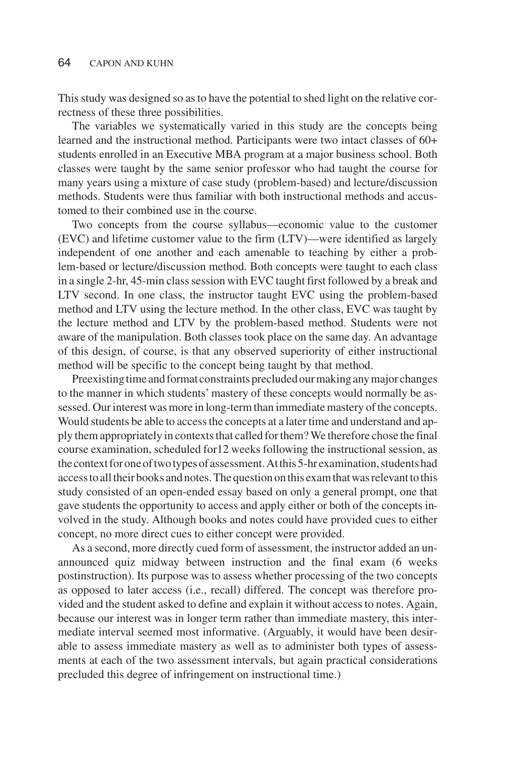This study was designed so as to have the potential to shed light on the relative correctness of these three possibilities.

The variables we systematically varied in this study are the concepts being learned and the instructional method. Participants were two intact classes of 60+ students enrolled in an Executive MBA program at a major business school. Both classes were taught by the same senior professor who had taught the course for many years using a mixture of case study (problem-based) and lecture/discussion methods. Students were thus familiar with both instructional methods and accustomed to their combined use in the course.

Two concepts from the course syllabus—economic value to the customer (EVC) and lifetime customer value to the firm (LTV)—were identified as largely independent of one another and each amenable to teaching by either a problem-based or lecture/discussion method. Both concepts were taught to each class in a single 2-hr, 45-min class session with EVC taught first followed by a break and LTV second. In one class, the instructor taught EVC using the problem-based method and LTV using the lecture method. In the other class, EVC was taught by the lecture method and LTV by the problem-based method. Students were not aware of the manipulation. Both classes took place on the same day. An advantage of this design, of course, is that any observed superiority of either instructional method will be specific to the concept being taught by that method.

Preexisting time and format constraints precluded our making any major changes to the manner in which students' mastery of these concepts would normally be assessed. Our interest was more in long-term than immediate mastery of the concepts. Would students be able to access the concepts at a later time and understand and apply them appropriately in contexts that called for them? We therefore chose the final course examination, scheduled for12 weeks following the instructional session, as the context for one of two types of assessment. At this 5-hr examination, students had access to all their books and notes. The question on this exam that was relevant to this study consisted of an open-ended essay based on only a general prompt, one that gave students the opportunity to access and apply either or both of the concepts involved in the study. Although books and notes could have provided cues to either concept, no more direct cues to either concept were provided.

As a second, more directly cued form of assessment, the instructor added an unannounced quiz midway between instruction and the final exam (6 weeks postinstruction). Its purpose was to assess whether processing of the two concepts as opposed to later access (i.e., recall) differed. The concept was therefore provided and the student asked to define and explain it without access to notes. Again, because our interest was in longer term rather than immediate mastery, this intermediate interval seemed most informative. (Arguably, it would have been desirable to assess immediate mastery as well as to administer both types of assessments at each of the two assessment intervals, but again practical considerations precluded this degree of infringement on instructional time.)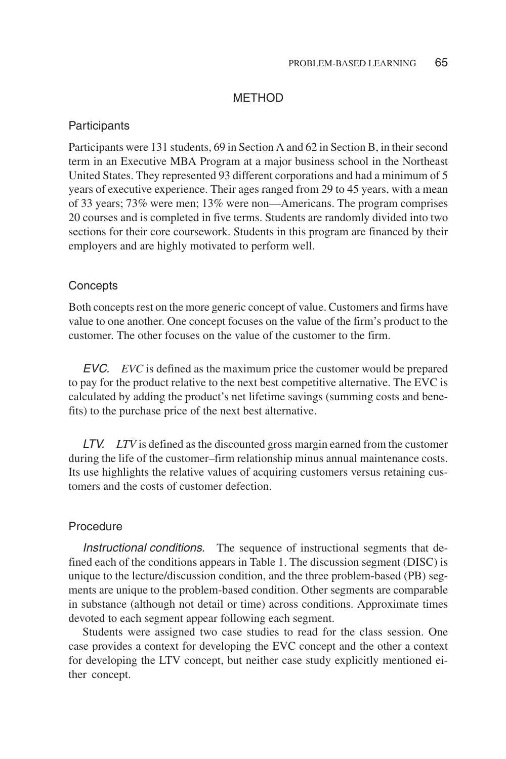## METHOD

#### **Participants**

Participants were 131 students, 69 in Section A and 62 in Section B, in their second term in an Executive MBA Program at a major business school in the Northeast United States. They represented 93 different corporations and had a minimum of 5 years of executive experience. Their ages ranged from 29 to 45 years, with a mean of 33 years; 73% were men; 13% were non—Americans. The program comprises 20 courses and is completed in five terms. Students are randomly divided into two sections for their core coursework. Students in this program are financed by their employers and are highly motivated to perform well.

#### **Concepts**

Both concepts rest on the more generic concept of value. Customers and firms have value to one another. One concept focuses on the value of the firm's product to the customer. The other focuses on the value of the customer to the firm.

EVC. *EVC* is defined as the maximum price the customer would be prepared to pay for the product relative to the next best competitive alternative. The EVC is calculated by adding the product's net lifetime savings (summing costs and benefits) to the purchase price of the next best alternative.

LTV. *LTV* is defined as the discounted gross margin earned from the customer during the life of the customer–firm relationship minus annual maintenance costs. Its use highlights the relative values of acquiring customers versus retaining customers and the costs of customer defection.

#### **Procedure**

Instructional conditions. The sequence of instructional segments that defined each of the conditions appears in Table 1. The discussion segment (DISC) is unique to the lecture/discussion condition, and the three problem-based (PB) segments are unique to the problem-based condition. Other segments are comparable in substance (although not detail or time) across conditions. Approximate times devoted to each segment appear following each segment.

Students were assigned two case studies to read for the class session. One case provides a context for developing the EVC concept and the other a context for developing the LTV concept, but neither case study explicitly mentioned either concept.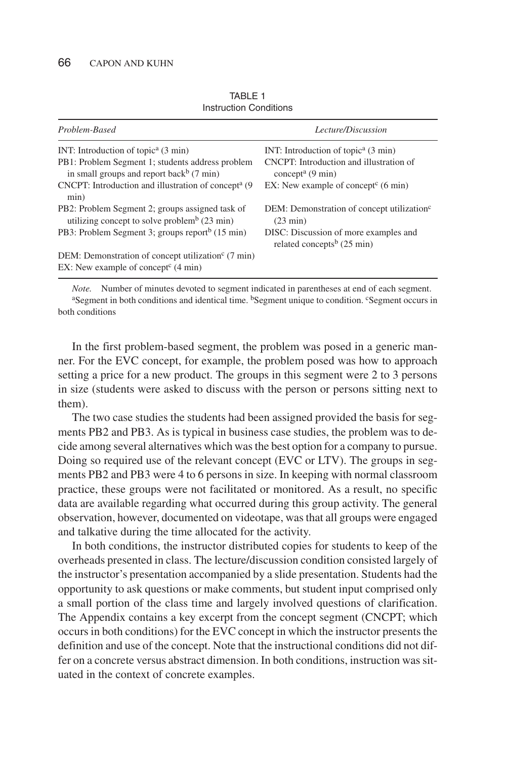| Problem-Based                                                                                                               | <i>Lecture/Discussion</i>                                                                 |
|-----------------------------------------------------------------------------------------------------------------------------|-------------------------------------------------------------------------------------------|
| INT: Introduction of topic <sup>a</sup> $(3 \text{ min})$                                                                   | INT: Introduction of topic <sup>a</sup> $(3 \text{ min})$                                 |
| PB1: Problem Segment 1; students address problem<br>in small groups and report back <sup>b</sup> (7 min)                    | CNCPT: Introduction and illustration of<br>concept <sup>a</sup> $(9 \text{ min})$         |
| CNCPT: Introduction and illustration of concept <sup>a</sup> (9)<br>min)                                                    | EX: New example of concept <sup>c</sup> $(6 \text{ min})$                                 |
| PB2: Problem Segment 2; groups assigned task of<br>utilizing concept to solve problem <sup>b</sup> $(23 \text{ min})$       | DEM: Demonstration of concept utilization <sup>c</sup><br>$(23 \text{ min})$              |
| PB3: Problem Segment 3; groups report <sup>b</sup> (15 min)                                                                 | DISC: Discussion of more examples and<br>related concepts <sup>b</sup> $(25 \text{ min})$ |
| DEM: Demonstration of concept utilization <sup>c</sup> (7 min)<br>EX: New example of concept <sup>c</sup> $(4 \text{ min})$ |                                                                                           |

TABLE 1 Instruction Conditions

*Note.* Number of minutes devoted to segment indicated in parentheses at end of each segment. <sup>a</sup>Segment in both conditions and identical time. <sup>b</sup>Segment unique to condition. <sup>c</sup>Segment occurs in both conditions

In the first problem-based segment, the problem was posed in a generic manner. For the EVC concept, for example, the problem posed was how to approach setting a price for a new product. The groups in this segment were 2 to 3 persons in size (students were asked to discuss with the person or persons sitting next to them).

The two case studies the students had been assigned provided the basis for segments PB2 and PB3. As is typical in business case studies, the problem was to decide among several alternatives which was the best option for a company to pursue. Doing so required use of the relevant concept (EVC or LTV). The groups in segments PB2 and PB3 were 4 to 6 persons in size. In keeping with normal classroom practice, these groups were not facilitated or monitored. As a result, no specific data are available regarding what occurred during this group activity. The general observation, however, documented on videotape, was that all groups were engaged and talkative during the time allocated for the activity.

In both conditions, the instructor distributed copies for students to keep of the overheads presented in class. The lecture/discussion condition consisted largely of the instructor's presentation accompanied by a slide presentation. Students had the opportunity to ask questions or make comments, but student input comprised only a small portion of the class time and largely involved questions of clarification. The Appendix contains a key excerpt from the concept segment (CNCPT; which occurs in both conditions) for the EVC concept in which the instructor presents the definition and use of the concept. Note that the instructional conditions did not differ on a concrete versus abstract dimension. In both conditions, instruction was situated in the context of concrete examples.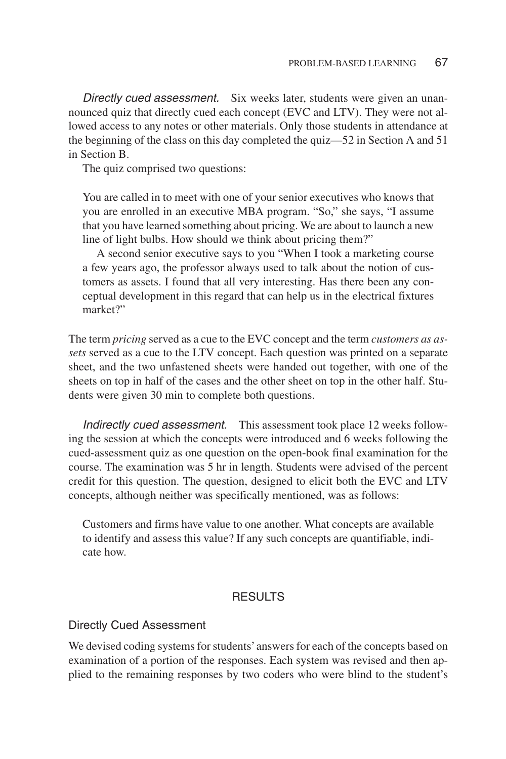Directly cued assessment. Six weeks later, students were given an unannounced quiz that directly cued each concept (EVC and LTV). They were not allowed access to any notes or other materials. Only those students in attendance at the beginning of the class on this day completed the quiz—52 in Section A and 51 in Section B.

The quiz comprised two questions:

You are called in to meet with one of your senior executives who knows that you are enrolled in an executive MBA program. "So," she says, "I assume that you have learned something about pricing. We are about to launch a new line of light bulbs. How should we think about pricing them?"

A second senior executive says to you "When I took a marketing course a few years ago, the professor always used to talk about the notion of customers as assets. I found that all very interesting. Has there been any conceptual development in this regard that can help us in the electrical fixtures market?"

The term *pricing* served as a cue to the EVC concept and the term *customers as assets* served as a cue to the LTV concept. Each question was printed on a separate sheet, and the two unfastened sheets were handed out together, with one of the sheets on top in half of the cases and the other sheet on top in the other half. Students were given 30 min to complete both questions.

Indirectly cued assessment. This assessment took place 12 weeks following the session at which the concepts were introduced and 6 weeks following the cued-assessment quiz as one question on the open-book final examination for the course. The examination was 5 hr in length. Students were advised of the percent credit for this question. The question, designed to elicit both the EVC and LTV concepts, although neither was specifically mentioned, was as follows:

Customers and firms have value to one another. What concepts are available to identify and assess this value? If any such concepts are quantifiable, indicate how.

## **RESULTS**

#### Directly Cued Assessment

We devised coding systems for students'answers for each of the concepts based on examination of a portion of the responses. Each system was revised and then applied to the remaining responses by two coders who were blind to the student's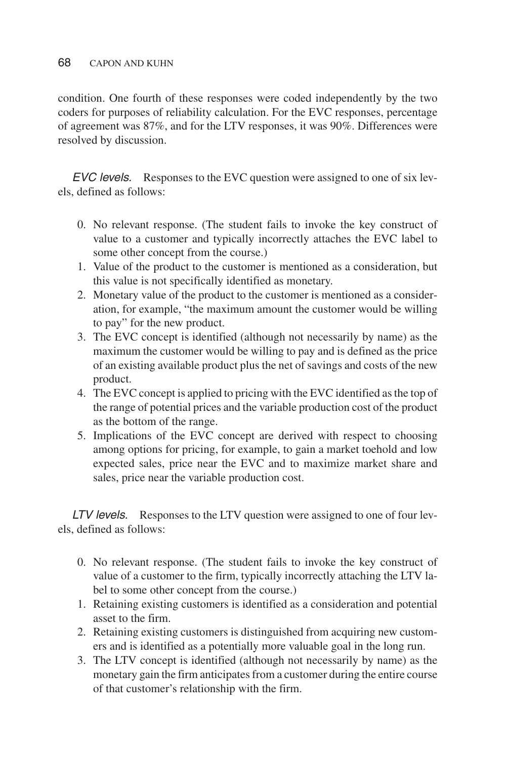condition. One fourth of these responses were coded independently by the two coders for purposes of reliability calculation. For the EVC responses, percentage of agreement was 87%, and for the LTV responses, it was 90%. Differences were resolved by discussion.

EVC levels. Responses to the EVC question were assigned to one of six levels, defined as follows:

- 0. No relevant response. (The student fails to invoke the key construct of value to a customer and typically incorrectly attaches the EVC label to some other concept from the course.)
- 1. Value of the product to the customer is mentioned as a consideration, but this value is not specifically identified as monetary.
- 2. Monetary value of the product to the customer is mentioned as a consideration, for example, "the maximum amount the customer would be willing to pay" for the new product.
- 3. The EVC concept is identified (although not necessarily by name) as the maximum the customer would be willing to pay and is defined as the price of an existing available product plus the net of savings and costs of the new product.
- 4. The EVC concept is applied to pricing with the EVC identified as the top of the range of potential prices and the variable production cost of the product as the bottom of the range.
- 5. Implications of the EVC concept are derived with respect to choosing among options for pricing, for example, to gain a market toehold and low expected sales, price near the EVC and to maximize market share and sales, price near the variable production cost.

LTV levels. Responses to the LTV question were assigned to one of four levels, defined as follows:

- 0. No relevant response. (The student fails to invoke the key construct of value of a customer to the firm, typically incorrectly attaching the LTV label to some other concept from the course.)
- 1. Retaining existing customers is identified as a consideration and potential asset to the firm.
- 2. Retaining existing customers is distinguished from acquiring new customers and is identified as a potentially more valuable goal in the long run.
- 3. The LTV concept is identified (although not necessarily by name) as the monetary gain the firm anticipates from a customer during the entire course of that customer's relationship with the firm.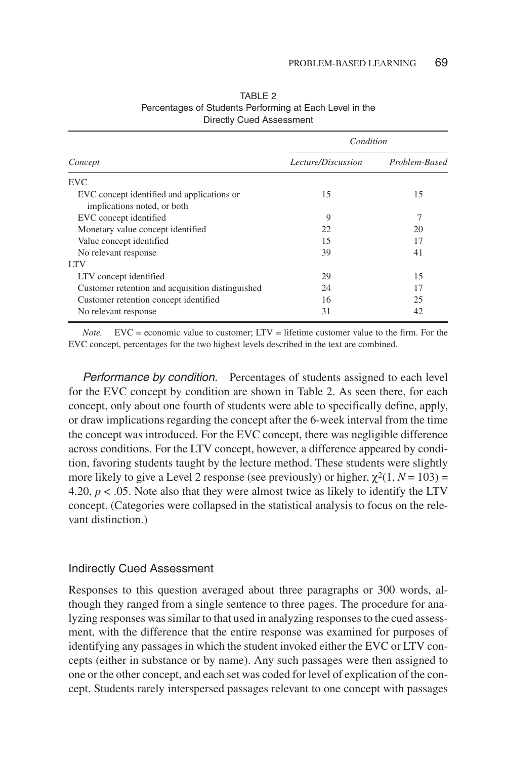|                                                                           | Condition          |               |  |  |
|---------------------------------------------------------------------------|--------------------|---------------|--|--|
| Concept                                                                   | Lecture/Discussion | Problem-Based |  |  |
| <b>EVC</b>                                                                |                    |               |  |  |
| EVC concept identified and applications or<br>implications noted, or both | 15                 | 15            |  |  |
| EVC concept identified                                                    | 9                  |               |  |  |
| Monetary value concept identified                                         | 22                 | 20            |  |  |
| Value concept identified                                                  | 15                 | 17            |  |  |
| No relevant response                                                      | 39                 | 41            |  |  |
| <b>LTV</b>                                                                |                    |               |  |  |
| LTV concept identified                                                    | 29                 | 15            |  |  |
| Customer retention and acquisition distinguished                          | 24                 | 17            |  |  |
| Customer retention concept identified                                     | 16                 | 25            |  |  |
| No relevant response                                                      | 31                 | 42            |  |  |

#### TABLE 2 Percentages of Students Performing at Each Level in the Directly Cued Assessment

*Note.* EVC = economic value to customer; LTV = lifetime customer value to the firm. For the EVC concept, percentages for the two highest levels described in the text are combined.

Performance by condition. Percentages of students assigned to each level for the EVC concept by condition are shown in Table 2. As seen there, for each concept, only about one fourth of students were able to specifically define, apply, or draw implications regarding the concept after the 6-week interval from the time the concept was introduced. For the EVC concept, there was negligible difference across conditions. For the LTV concept, however, a difference appeared by condition, favoring students taught by the lecture method. These students were slightly more likely to give a Level 2 response (see previously) or higher,  $\chi^2(1, N = 103)$  = 4.20,  $p < .05$ . Note also that they were almost twice as likely to identify the LTV concept. (Categories were collapsed in the statistical analysis to focus on the relevant distinction.)

#### Indirectly Cued Assessment

Responses to this question averaged about three paragraphs or 300 words, although they ranged from a single sentence to three pages. The procedure for analyzing responses was similar to that used in analyzing responses to the cued assessment, with the difference that the entire response was examined for purposes of identifying any passages in which the student invoked either the EVC or LTV concepts (either in substance or by name). Any such passages were then assigned to one or the other concept, and each set was coded for level of explication of the concept. Students rarely interspersed passages relevant to one concept with passages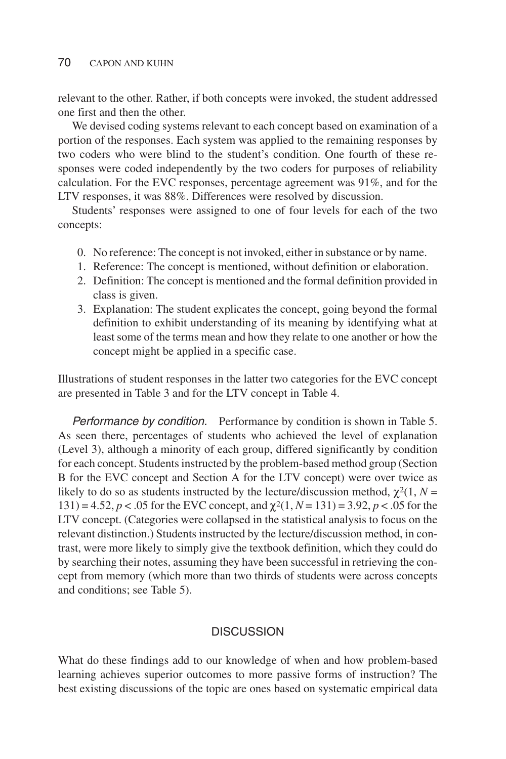relevant to the other. Rather, if both concepts were invoked, the student addressed one first and then the other.

We devised coding systems relevant to each concept based on examination of a portion of the responses. Each system was applied to the remaining responses by two coders who were blind to the student's condition. One fourth of these responses were coded independently by the two coders for purposes of reliability calculation. For the EVC responses, percentage agreement was 91%, and for the LTV responses, it was 88%. Differences were resolved by discussion.

Students' responses were assigned to one of four levels for each of the two concepts:

- 0. No reference: The concept is not invoked, either in substance or by name.
- 1. Reference: The concept is mentioned, without definition or elaboration.
- 2. Definition: The concept is mentioned and the formal definition provided in class is given.
- 3. Explanation: The student explicates the concept, going beyond the formal definition to exhibit understanding of its meaning by identifying what at least some of the terms mean and how they relate to one another or how the concept might be applied in a specific case.

Illustrations of student responses in the latter two categories for the EVC concept are presented in Table 3 and for the LTV concept in Table 4.

Performance by condition. Performance by condition is shown in Table 5. As seen there, percentages of students who achieved the level of explanation (Level 3), although a minority of each group, differed significantly by condition for each concept. Students instructed by the problem-based method group (Section B for the EVC concept and Section A for the LTV concept) were over twice as likely to do so as students instructed by the lecture/discussion method,  $\chi^2(1, N =$  $131$ ) = 4.52, *p* < .05 for the EVC concept, and  $\chi^2(1, N = 131) = 3.92$ , *p* < .05 for the LTV concept. (Categories were collapsed in the statistical analysis to focus on the relevant distinction.) Students instructed by the lecture/discussion method, in contrast, were more likely to simply give the textbook definition, which they could do by searching their notes, assuming they have been successful in retrieving the concept from memory (which more than two thirds of students were across concepts and conditions; see Table 5).

#### **DISCUSSION**

What do these findings add to our knowledge of when and how problem-based learning achieves superior outcomes to more passive forms of instruction? The best existing discussions of the topic are ones based on systematic empirical data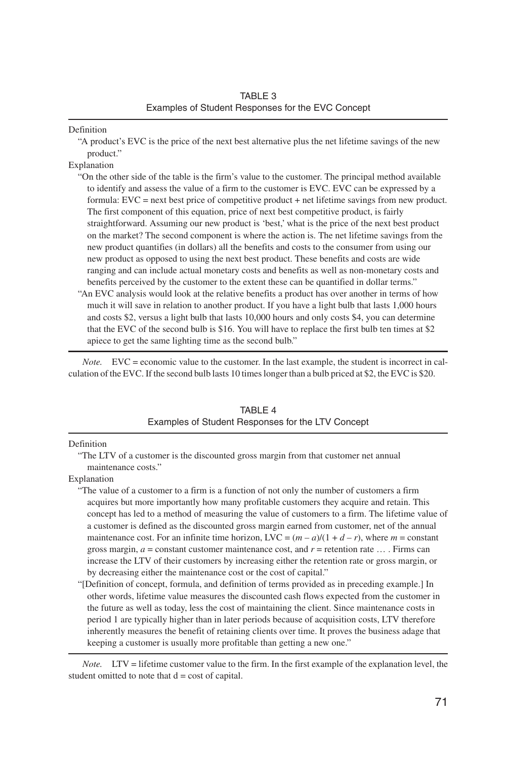TABLE 3 Examples of Student Responses for the EVC Concept

Definition

"A product's EVC is the price of the next best alternative plus the net lifetime savings of the new product."

Explanation

"On the other side of the table is the firm's value to the customer. The principal method available to identify and assess the value of a firm to the customer is EVC. EVC can be expressed by a formula: EVC = next best price of competitive product + net lifetime savings from new product. The first component of this equation, price of next best competitive product, is fairly straightforward. Assuming our new product is 'best,' what is the price of the next best product on the market? The second component is where the action is. The net lifetime savings from the new product quantifies (in dollars) all the benefits and costs to the consumer from using our new product as opposed to using the next best product. These benefits and costs are wide ranging and can include actual monetary costs and benefits as well as non-monetary costs and benefits perceived by the customer to the extent these can be quantified in dollar terms."

"An EVC analysis would look at the relative benefits a product has over another in terms of how much it will save in relation to another product. If you have a light bulb that lasts 1,000 hours and costs \$2, versus a light bulb that lasts 10,000 hours and only costs \$4, you can determine that the EVC of the second bulb is \$16. You will have to replace the first bulb ten times at \$2 apiece to get the same lighting time as the second bulb."

*Note.* EVC = economic value to the customer. In the last example, the student is incorrect in calculation of the EVC. If the second bulb lasts 10 times longer than a bulb priced at \$2, the EVC is \$20.

#### TABLE 4 Examples of Student Responses for the LTV Concept

Definition

"The LTV of a customer is the discounted gross margin from that customer net annual maintenance costs."

Explanation

- "The value of a customer to a firm is a function of not only the number of customers a firm acquires but more importantly how many profitable customers they acquire and retain. This concept has led to a method of measuring the value of customers to a firm. The lifetime value of a customer is defined as the discounted gross margin earned from customer, net of the annual maintenance cost. For an infinite time horizon, LVC =  $(m - a)/(1 + d - r)$ , where  $m =$  constant gross margin,  $a = constant$  customer maintenance cost, and  $r =$  retention rate ... . Firms can increase the LTV of their customers by increasing either the retention rate or gross margin, or by decreasing either the maintenance cost or the cost of capital."
- "[Definition of concept, formula, and definition of terms provided as in preceding example.] In other words, lifetime value measures the discounted cash flows expected from the customer in the future as well as today, less the cost of maintaining the client. Since maintenance costs in period 1 are typically higher than in later periods because of acquisition costs, LTV therefore inherently measures the benefit of retaining clients over time. It proves the business adage that keeping a customer is usually more profitable than getting a new one."

*Note.* LTV = lifetime customer value to the firm. In the first example of the explanation level, the student omitted to note that  $d = \text{cost of capital}$ .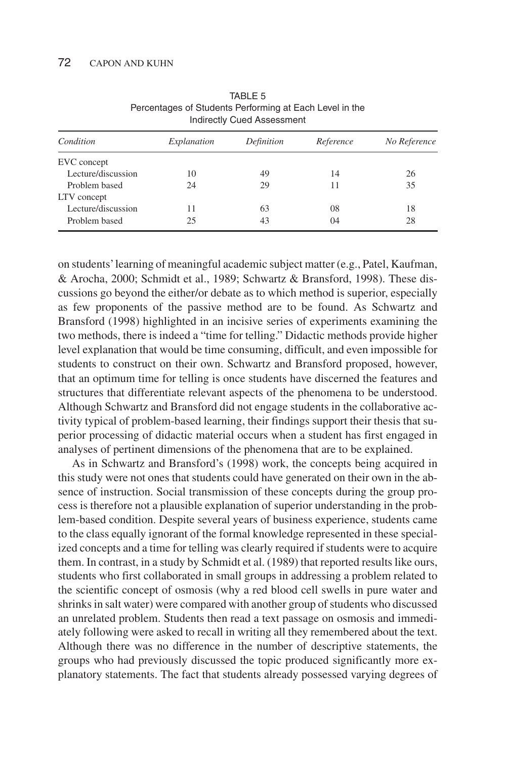|    |             |            | No Reference |  |
|----|-------------|------------|--------------|--|
|    |             |            |              |  |
| 10 | 49          | 14         | 26           |  |
| 24 | 29          | 11         | 35           |  |
|    |             |            |              |  |
| 11 | 63          | 08         | 18           |  |
| 25 | 43          | 04         | 28           |  |
|    | Explanation | Definition | Reference    |  |

TABLE 5 Percentages of Students Performing at Each Level in the Indirectly Cued Assessment

on students'learning of meaningful academic subject matter (e.g., Patel, Kaufman, & Arocha, 2000; Schmidt et al., 1989; Schwartz & Bransford, 1998). These discussions go beyond the either/or debate as to which method is superior, especially as few proponents of the passive method are to be found. As Schwartz and Bransford (1998) highlighted in an incisive series of experiments examining the two methods, there is indeed a "time for telling." Didactic methods provide higher level explanation that would be time consuming, difficult, and even impossible for students to construct on their own. Schwartz and Bransford proposed, however, that an optimum time for telling is once students have discerned the features and structures that differentiate relevant aspects of the phenomena to be understood. Although Schwartz and Bransford did not engage students in the collaborative activity typical of problem-based learning, their findings support their thesis that superior processing of didactic material occurs when a student has first engaged in analyses of pertinent dimensions of the phenomena that are to be explained.

As in Schwartz and Bransford's (1998) work, the concepts being acquired in this study were not ones that students could have generated on their own in the absence of instruction. Social transmission of these concepts during the group process is therefore not a plausible explanation of superior understanding in the problem-based condition. Despite several years of business experience, students came to the class equally ignorant of the formal knowledge represented in these specialized concepts and a time for telling was clearly required if students were to acquire them. In contrast, in a study by Schmidt et al. (1989) that reported results like ours, students who first collaborated in small groups in addressing a problem related to the scientific concept of osmosis (why a red blood cell swells in pure water and shrinks in salt water) were compared with another group of students who discussed an unrelated problem. Students then read a text passage on osmosis and immediately following were asked to recall in writing all they remembered about the text. Although there was no difference in the number of descriptive statements, the groups who had previously discussed the topic produced significantly more explanatory statements. The fact that students already possessed varying degrees of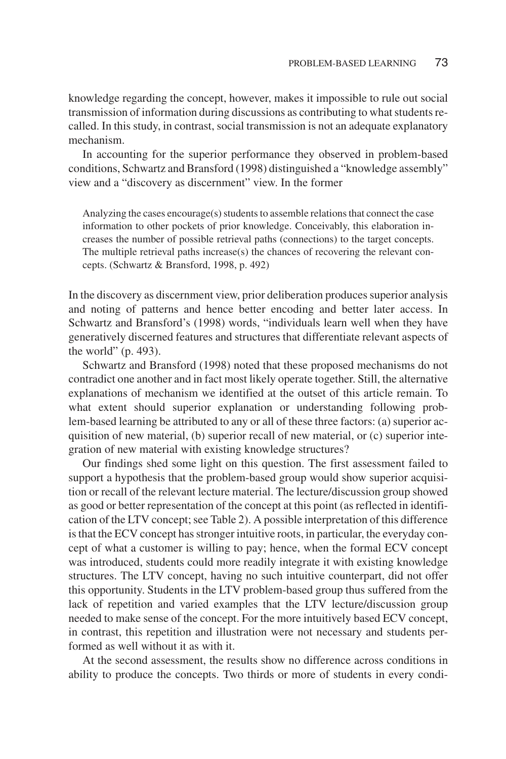knowledge regarding the concept, however, makes it impossible to rule out social transmission of information during discussions as contributing to what students recalled. In this study, in contrast, social transmission is not an adequate explanatory mechanism.

In accounting for the superior performance they observed in problem-based conditions, Schwartz and Bransford (1998) distinguished a "knowledge assembly" view and a "discovery as discernment" view. In the former

Analyzing the cases encourage(s) students to assemble relations that connect the case information to other pockets of prior knowledge. Conceivably, this elaboration increases the number of possible retrieval paths (connections) to the target concepts. The multiple retrieval paths increase(s) the chances of recovering the relevant concepts. (Schwartz & Bransford, 1998, p. 492)

In the discovery as discernment view, prior deliberation produces superior analysis and noting of patterns and hence better encoding and better later access. In Schwartz and Bransford's (1998) words, "individuals learn well when they have generatively discerned features and structures that differentiate relevant aspects of the world" (p. 493).

Schwartz and Bransford (1998) noted that these proposed mechanisms do not contradict one another and in fact most likely operate together. Still, the alternative explanations of mechanism we identified at the outset of this article remain. To what extent should superior explanation or understanding following problem-based learning be attributed to any or all of these three factors: (a) superior acquisition of new material, (b) superior recall of new material, or (c) superior integration of new material with existing knowledge structures?

Our findings shed some light on this question. The first assessment failed to support a hypothesis that the problem-based group would show superior acquisition or recall of the relevant lecture material. The lecture/discussion group showed as good or better representation of the concept at this point (as reflected in identification of the LTV concept; see Table 2). A possible interpretation of this difference is that the ECV concept has stronger intuitive roots, in particular, the everyday concept of what a customer is willing to pay; hence, when the formal ECV concept was introduced, students could more readily integrate it with existing knowledge structures. The LTV concept, having no such intuitive counterpart, did not offer this opportunity. Students in the LTV problem-based group thus suffered from the lack of repetition and varied examples that the LTV lecture/discussion group needed to make sense of the concept. For the more intuitively based ECV concept, in contrast, this repetition and illustration were not necessary and students performed as well without it as with it.

At the second assessment, the results show no difference across conditions in ability to produce the concepts. Two thirds or more of students in every condi-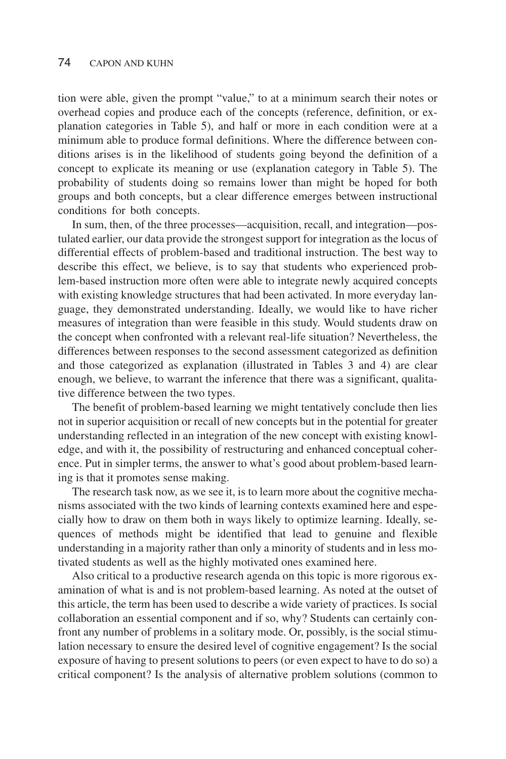tion were able, given the prompt "value," to at a minimum search their notes or overhead copies and produce each of the concepts (reference, definition, or explanation categories in Table 5), and half or more in each condition were at a minimum able to produce formal definitions. Where the difference between conditions arises is in the likelihood of students going beyond the definition of a concept to explicate its meaning or use (explanation category in Table 5). The probability of students doing so remains lower than might be hoped for both groups and both concepts, but a clear difference emerges between instructional conditions for both concepts.

In sum, then, of the three processes—acquisition, recall, and integration—postulated earlier, our data provide the strongest support for integration as the locus of differential effects of problem-based and traditional instruction. The best way to describe this effect, we believe, is to say that students who experienced problem-based instruction more often were able to integrate newly acquired concepts with existing knowledge structures that had been activated. In more everyday language, they demonstrated understanding. Ideally, we would like to have richer measures of integration than were feasible in this study. Would students draw on the concept when confronted with a relevant real-life situation? Nevertheless, the differences between responses to the second assessment categorized as definition and those categorized as explanation (illustrated in Tables 3 and 4) are clear enough, we believe, to warrant the inference that there was a significant, qualitative difference between the two types.

The benefit of problem-based learning we might tentatively conclude then lies not in superior acquisition or recall of new concepts but in the potential for greater understanding reflected in an integration of the new concept with existing knowledge, and with it, the possibility of restructuring and enhanced conceptual coherence. Put in simpler terms, the answer to what's good about problem-based learning is that it promotes sense making.

The research task now, as we see it, is to learn more about the cognitive mechanisms associated with the two kinds of learning contexts examined here and especially how to draw on them both in ways likely to optimize learning. Ideally, sequences of methods might be identified that lead to genuine and flexible understanding in a majority rather than only a minority of students and in less motivated students as well as the highly motivated ones examined here.

Also critical to a productive research agenda on this topic is more rigorous examination of what is and is not problem-based learning. As noted at the outset of this article, the term has been used to describe a wide variety of practices. Is social collaboration an essential component and if so, why? Students can certainly confront any number of problems in a solitary mode. Or, possibly, is the social stimulation necessary to ensure the desired level of cognitive engagement? Is the social exposure of having to present solutions to peers (or even expect to have to do so) a critical component? Is the analysis of alternative problem solutions (common to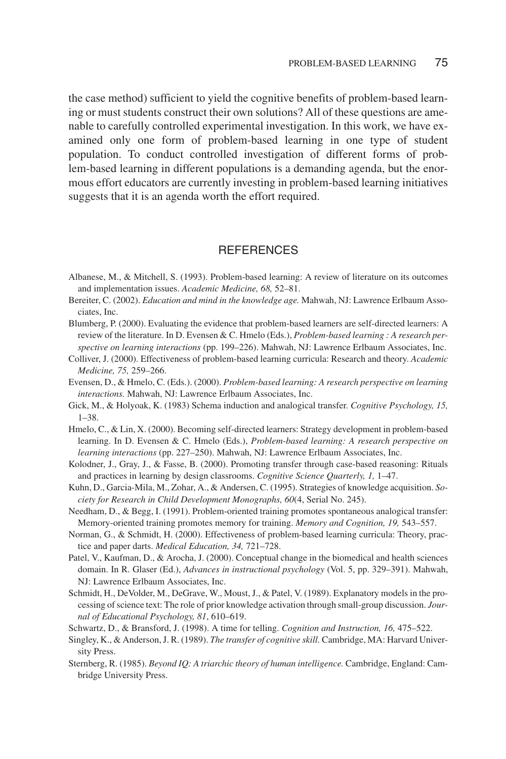the case method) sufficient to yield the cognitive benefits of problem-based learning or must students construct their own solutions? All of these questions are amenable to carefully controlled experimental investigation. In this work, we have examined only one form of problem-based learning in one type of student population. To conduct controlled investigation of different forms of problem-based learning in different populations is a demanding agenda, but the enormous effort educators are currently investing in problem-based learning initiatives suggests that it is an agenda worth the effort required.

## **REFERENCES**

- Albanese, M., & Mitchell, S. (1993). Problem-based learning: A review of literature on its outcomes and implementation issues. *Academic Medicine, 68,* 52–81.
- Bereiter, C. (2002). *Education and mind in the knowledge age.* Mahwah, NJ: Lawrence Erlbaum Associates, Inc.
- Blumberg, P. (2000). Evaluating the evidence that problem-based learners are self-directed learners: A review of the literature. In D. Evensen & C. Hmelo (Eds.), *Problem-based learning:Aresearch perspective on learning interactions* (pp. 199–226). Mahwah, NJ: Lawrence Erlbaum Associates, Inc.
- Colliver, J. (2000). Effectiveness of problem-based learning curricula: Research and theory. *Academic Medicine, 75,* 259–266.
- Evensen, D., & Hmelo, C. (Eds.). (2000). *Problem-based learning: A research perspective on learning interactions.* Mahwah, NJ: Lawrence Erlbaum Associates, Inc.
- Gick, M., & Holyoak, K. (1983) Schema induction and analogical transfer. *Cognitive Psychology, 15,* 1–38.
- Hmelo, C., & Lin, X. (2000). Becoming self-directed learners: Strategy development in problem-based learning. In D. Evensen & C. Hmelo (Eds.), *Problem-based learning: A research perspective on learning interactions* (pp. 227–250). Mahwah, NJ: Lawrence Erlbaum Associates, Inc.
- Kolodner, J., Gray, J., & Fasse, B. (2000). Promoting transfer through case-based reasoning: Rituals and practices in learning by design classrooms. *Cognitive Science Quarterly, 1,* 1–47.
- Kuhn, D., Garcia-Mila, M., Zohar, A., & Andersen, C. (1995). Strategies of knowledge acquisition. *Society for Research in Child Development Monographs, 60*(4, Serial No. 245).
- Needham, D., & Begg, I. (1991). Problem-oriented training promotes spontaneous analogical transfer: Memory-oriented training promotes memory for training. *Memory and Cognition, 19,* 543–557.
- Norman, G., & Schmidt, H. (2000). Effectiveness of problem-based learning curricula: Theory, practice and paper darts. *Medical Education, 34,* 721–728.
- Patel, V., Kaufman, D., & Arocha, J. (2000). Conceptual change in the biomedical and health sciences domain. In R. Glaser (Ed.), *Advances in instructional psychology* (Vol. 5, pp. 329–391). Mahwah, NJ: Lawrence Erlbaum Associates, Inc.
- Schmidt, H., DeVolder, M., DeGrave, W., Moust, J., & Patel, V. (1989). Explanatory models in the processing of science text: The role of prior knowledge activation through small-group discussion. *Journal of Educational Psychology, 81*, 610–619.
- Schwartz, D., & Bransford, J. (1998). A time for telling. *Cognition and Instruction, 16,* 475–522.
- Singley, K., & Anderson, J. R. (1989). *The transfer of cognitive skill.* Cambridge, MA: Harvard University Press.
- Sternberg, R. (1985). *Beyond IQ: A triarchic theory of human intelligence.* Cambridge, England: Cambridge University Press.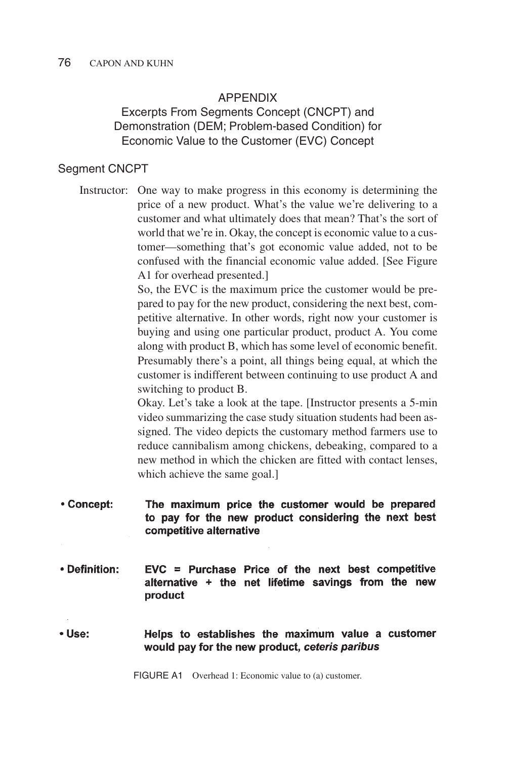## APPENDIX

# Excerpts From Segments Concept (CNCPT) and Demonstration (DEM; Problem-based Condition) for Economic Value to the Customer (EVC) Concept

## Segment CNCPT

Instructor: One way to make progress in this economy is determining the price of a new product. What's the value we're delivering to a customer and what ultimately does that mean? That's the sort of world that we're in. Okay, the concept is economic value to a customer—something that's got economic value added, not to be confused with the financial economic value added. [See Figure A1 for overhead presented.]

> So, the EVC is the maximum price the customer would be prepared to pay for the new product, considering the next best, competitive alternative. In other words, right now your customer is buying and using one particular product, product A. You come along with product B, which has some level of economic benefit. Presumably there's a point, all things being equal, at which the customer is indifferent between continuing to use product A and switching to product B.

> Okay. Let's take a look at the tape. [Instructor presents a 5-min video summarizing the case study situation students had been assigned. The video depicts the customary method farmers use to reduce cannibalism among chickens, debeaking, compared to a new method in which the chicken are fitted with contact lenses, which achieve the same goal.]

- Concept: The maximum price the customer would be prepared to pay for the new product considering the next best competitive alternative
- · Definition:  $EVC = Purchase Price of the next best competitive$ alternative + the net lifetime savings from the new product
- Helps to establishes the maximum value a customer • Use: would pay for the new product, ceteris paribus

FIGURE A1 Overhead 1: Economic value to (a) customer.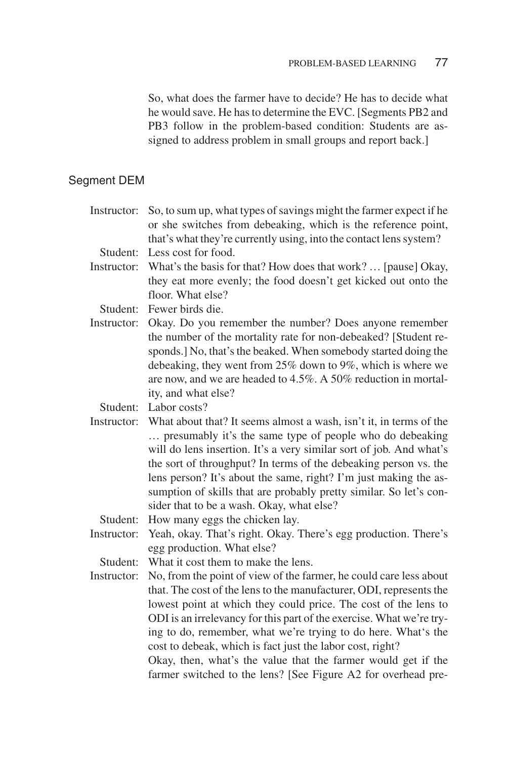So, what does the farmer have to decide? He has to decide what he would save. He has to determine the EVC. [Segments PB2 and PB3 follow in the problem-based condition: Students are assigned to address problem in small groups and report back.]

# Segment DEM

| Instructor: | So, to sum up, what types of savings might the farmer expect if he<br>or she switches from debeaking, which is the reference point,                                                                                                                                                                                                                                                                                                                              |
|-------------|------------------------------------------------------------------------------------------------------------------------------------------------------------------------------------------------------------------------------------------------------------------------------------------------------------------------------------------------------------------------------------------------------------------------------------------------------------------|
|             | that's what they're currently using, into the contact lens system?                                                                                                                                                                                                                                                                                                                                                                                               |
| Student:    | Less cost for food.                                                                                                                                                                                                                                                                                                                                                                                                                                              |
| Instructor: | What's the basis for that? How does that work?  [pause] Okay,<br>they eat more evenly; the food doesn't get kicked out onto the<br>floor. What else?                                                                                                                                                                                                                                                                                                             |
| Student:    | Fewer birds die.                                                                                                                                                                                                                                                                                                                                                                                                                                                 |
| Instructor: | Okay. Do you remember the number? Does anyone remember<br>the number of the mortality rate for non-debeaked? [Student re-<br>sponds.] No, that's the beaked. When somebody started doing the<br>debeaking, they went from $25\%$ down to 9%, which is where we<br>are now, and we are headed to 4.5%. A 50% reduction in mortal-                                                                                                                                 |
|             | ity, and what else?<br>Labor costs?                                                                                                                                                                                                                                                                                                                                                                                                                              |
| Student:    |                                                                                                                                                                                                                                                                                                                                                                                                                                                                  |
| Instructor: | What about that? It seems almost a wash, isn't it, in terms of the<br>presumably it's the same type of people who do debeaking<br>will do lens insertion. It's a very similar sort of job. And what's<br>the sort of throughput? In terms of the debeaking person vs. the<br>lens person? It's about the same, right? I'm just making the as-<br>sumption of skills that are probably pretty similar. So let's con-<br>sider that to be a wash. Okay, what else? |
| Student:    | How many eggs the chicken lay.                                                                                                                                                                                                                                                                                                                                                                                                                                   |
| Instructor: | Yeah, okay. That's right. Okay. There's egg production. There's<br>egg production. What else?                                                                                                                                                                                                                                                                                                                                                                    |
| Student:    | What it cost them to make the lens.                                                                                                                                                                                                                                                                                                                                                                                                                              |
| Instructor: | No, from the point of view of the farmer, he could care less about<br>that. The cost of the lens to the manufacturer, ODI, represents the<br>lowest point at which they could price. The cost of the lens to<br>ODI is an irrelevancy for this part of the exercise. What we're try-<br>ing to do, remember, what we're trying to do here. What's the<br>cost to debeak, which is fact just the labor cost, right?                                               |

Okay, then, what's the value that the farmer would get if the farmer switched to the lens? [See Figure A2 for overhead pre-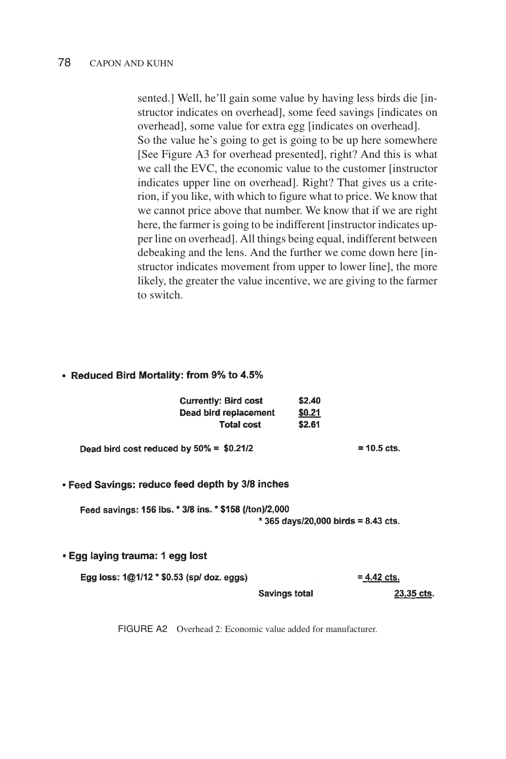sented.] Well, he'll gain some value by having less birds die [instructor indicates on overhead], some feed savings [indicates on overhead], some value for extra egg [indicates on overhead]. So the value he's going to get is going to be up here somewhere [See Figure A3 for overhead presented], right? And this is what we call the EVC, the economic value to the customer [instructor indicates upper line on overhead]. Right? That gives us a criterion, if you like, with which to figure what to price. We know that we cannot price above that number. We know that if we are right here, the farmer is going to be indifferent [instructor indicates upper line on overhead]. All things being equal, indifferent between debeaking and the lens. And the further we come down here [instructor indicates movement from upper to lower line], the more likely, the greater the value incentive, we are giving to the farmer to switch.

#### • Reduced Bird Mortality: from 9% to 4.5%

|                                                        | <b>Currently: Bird cost</b><br>Dead bird replacement<br><b>Total cost</b> |               | \$2.40<br>\$0.21<br>\$2.61          |               |            |
|--------------------------------------------------------|---------------------------------------------------------------------------|---------------|-------------------------------------|---------------|------------|
| Dead bird cost reduced by $50\% = $0.21/2$             |                                                                           |               |                                     | $= 10.5$ cts. |            |
| · Feed Savings: reduce feed depth by 3/8 inches        |                                                                           |               |                                     |               |            |
| Feed savings: 156 lbs. * 3/8 ins. * \$158 (/ton)/2,000 |                                                                           |               | * 365 days/20,000 birds = 8.43 cts. |               |            |
| • Egg laying trauma: 1 egg lost                        |                                                                           |               |                                     |               |            |
| Egg loss: $1@1/12$ * \$0.53 (sp/ doz. eggs)            |                                                                           | Savings total |                                     | = 4.42 cts.   | 23.35 cts. |

FIGURE A2 Overhead 2: Economic value added for manufacturer.